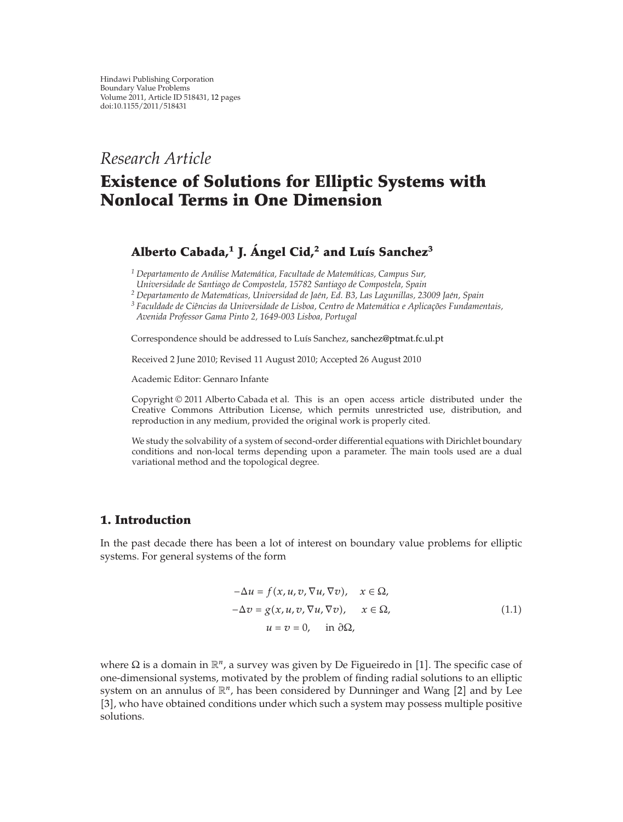# *Research Article*

# **Existence of Solutions for Elliptic Systems with Nonlocal Terms in One Dimension**

# **Alberto Cabada,1 J. Angel Cid, ´ <sup>2</sup> and Luıs Sanchez ´ <sup>3</sup>**

*<sup>1</sup> Departamento de Analise Matem ´ atica, Facultade de Matem ´ aticas, Campus Sur, ´ Universidade de Santiago de Compostela, 15782 Santiago de Compostela, Spain*

*<sup>2</sup> Departamento de Matematicas, Universidad de Ja ´ en, Ed. B3, Las Lagunillas, 23009 Ja ´ en, Spain ´*

*<sup>3</sup> Faculdade de Ciencias da Universidade de Lisboa, Centro de Matem ˆ atica e Aplicac ´ ¸oes Fundamentais, ˜ Avenida Professor Gama Pinto 2, 1649-003 Lisboa, Portugal*

Correspondence should be addressed to Luís Sanchez, sanchez@ptmat.fc.ul.pt

Received 2 June 2010; Revised 11 August 2010; Accepted 26 August 2010

Academic Editor: Gennaro Infante

Copyright  $@ 2011$  Alberto Cabada et al. This is an open access article distributed under the Creative Commons Attribution License, which permits unrestricted use, distribution, and reproduction in any medium, provided the original work is properly cited.

We study the solvability of a system of second-order differential equations with Dirichlet boundary conditions and non-local terms depending upon a parameter. The main tools used are a dual variational method and the topological degree.

## **1. Introduction**

In the past decade there has been a lot of interest on boundary value problems for elliptic systems. For general systems of the form

$$
-\Delta u = f(x, u, v, \nabla u, \nabla v), \quad x \in \Omega,
$$
  

$$
-\Delta v = g(x, u, v, \nabla u, \nabla v), \quad x \in \Omega,
$$
  

$$
u = v = 0, \quad \text{in } \partial\Omega,
$$
 (1.1)

where  $\Omega$  is a domain in  $\mathbb{R}^n$ , a survey was given by De Figueiredo in [1]. The specific case of one-dimensional systems, motivated by the problem of finding radial solutions to an elliptic system on an annulus of  $\mathbb{R}^n$ , has been considered by Dunninger and Wang [2] and by Lee [3], who have obtained conditions under which such a system may possess multiple positive solutions.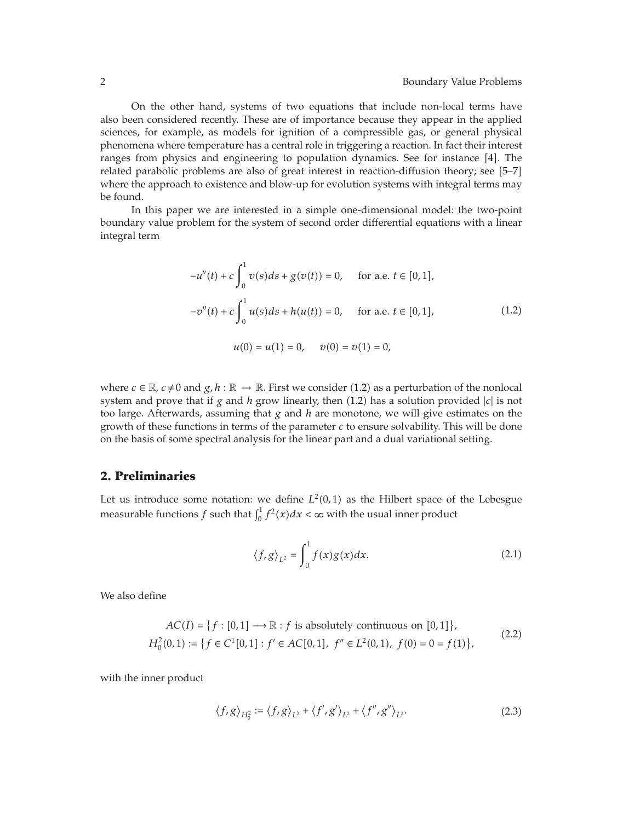On the other hand, systems of two equations that include non-local terms have also been considered recently. These are of importance because they appear in the applied sciences, for example, as models for ignition of a compressible gas, or general physical phenomena where temperature has a central role in triggering a reaction. In fact their interest ranges from physics and engineering to population dynamics. See for instance  $[4]$ . The related parabolic problems are also of great interest in reaction-diffusion theory; see 5–7 where the approach to existence and blow-up for evolution systems with integral terms may be found.

In this paper we are interested in a simple one-dimensional model: the two-point boundary value problem for the system of second order differential equations with a linear integral term

$$
-u''(t) + c \int_0^1 v(s)ds + g(v(t)) = 0, \quad \text{for a.e. } t \in [0, 1],
$$
  

$$
-v''(t) + c \int_0^1 u(s)ds + h(u(t)) = 0, \quad \text{for a.e. } t \in [0, 1],
$$
  

$$
u(0) = u(1) = 0, \quad v(0) = v(1) = 0,
$$
 (1.2)

where  $c \in \mathbb{R}$ ,  $c \neq 0$  and  $g, h : \mathbb{R} \to \mathbb{R}$ . First we consider (1.2) as a perturbation of the nonlocal system and prove that if *g* and *h* grow linearly, then (1.2) has a solution provided  $|c|$  is not too large. Afterwards, assuming that *g* and *h* are monotone, we will give estimates on the growth of these functions in terms of the parameter *c* to ensure solvability. This will be done on the basis of some spectral analysis for the linear part and a dual variational setting.

#### **2. Preliminaries**

Let us introduce some notation: we define  $L^2(0,1)$  as the Hilbert space of the Lebesgue measurable functions  $f$  such that  $\int_0^1 f^2(x) dx < \infty$  with the usual inner product

$$
\langle f, g \rangle_{L^2} = \int_0^1 f(x)g(x)dx. \tag{2.1}
$$

We also define

$$
AC(I) = \{ f : [0,1] \longrightarrow \mathbb{R} : f \text{ is absolutely continuous on } [0,1] \},\newline H_0^2(0,1) := \{ f \in C^1[0,1] : f' \in AC[0,1], f'' \in L^2(0,1), f(0) = 0 = f(1) \},\newline
$$
\n(2.2)

with the inner product

$$
\langle f, g \rangle_{H_0^2} := \langle f, g \rangle_{L^2} + \langle f', g' \rangle_{L^2} + \langle f'', g'' \rangle_{L^2}.
$$
 (2.3)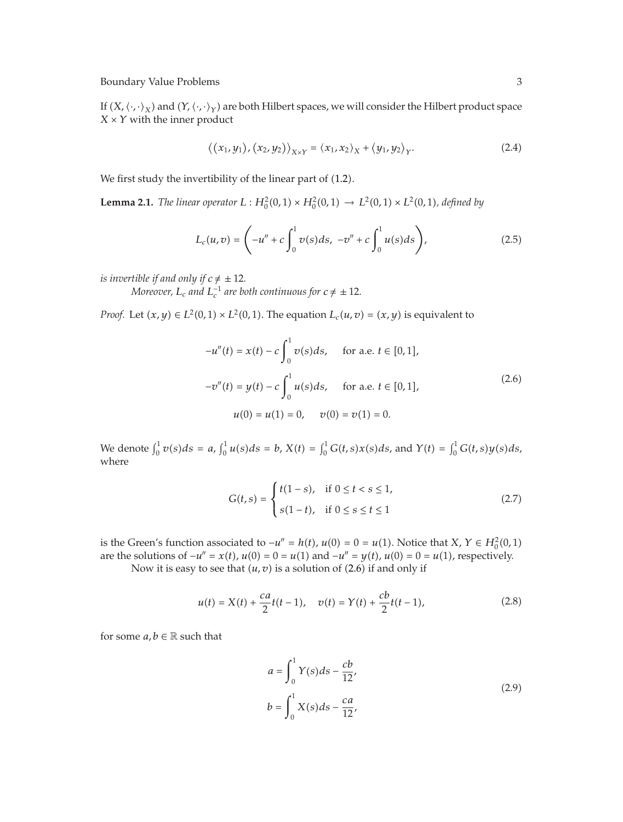If  $(X, \langle \cdot, \cdot \rangle_X)$  and  $(Y, \langle \cdot, \cdot \rangle_Y)$  are both Hilbert spaces, we will consider the Hilbert product space  $X \times Y$  with the inner product

$$
\langle (x_1, y_1), (x_2, y_2) \rangle_{X \times Y} = \langle x_1, x_2 \rangle_X + \langle y_1, y_2 \rangle_Y. \tag{2.4}
$$

We first study the invertibility of the linear part of  $(1.2)$ .

**Lemma 2.1.** *The linear operator*  $L: H_0^2(0,1) \times H_0^2(0,1) \to L^2(0,1) \times L^2(0,1)$ , defined by

$$
L_c(u,v) = \left(-u'' + c \int_0^1 v(s)ds, \ -v'' + c \int_0^1 u(s)ds\right),\tag{2.5}
$$

*is invertible if and only if*  $c \neq \pm 12$ *.* 

*Moreover,*  $L_c$  and  $L_c^{-1}$  are both continuous for  $c \neq \pm 12$ .

*Proof.* Let  $(x, y) \in L^2(0, 1) \times L^2(0, 1)$ . The equation  $L_c(u, v) = (x, y)$  is equivalent to

$$
-u''(t) = x(t) - c \int_0^1 v(s)ds, \quad \text{for a.e. } t \in [0, 1],
$$
  

$$
-v''(t) = y(t) - c \int_0^1 u(s)ds, \quad \text{for a.e. } t \in [0, 1],
$$
  

$$
u(0) = u(1) = 0, \quad v(0) = v(1) = 0.
$$
 (2.6)

We denote  $\int_0^1 v(s)ds = a$ ,  $\int_0^1 u(s)ds = b$ ,  $X(t) = \int_0^1 G(t,s)x(s)ds$ , and  $Y(t) = \int_0^1 G(t,s)y(s)ds$ , where

$$
G(t,s) = \begin{cases} t(1-s), & \text{if } 0 \le t < s \le 1, \\ s(1-t), & \text{if } 0 \le s \le t \le 1 \end{cases}
$$
 (2.7)

is the Green's function associated to  $-u'' = h(t)$ ,  $u(0) = 0 = u(1)$ . Notice that *X*,  $Y \in H_0^2(0,1)$ are the solutions of  $-u'' = x(t)$ ,  $u(0) = 0 = u(1)$  and  $-u'' = y(t)$ ,  $u(0) = 0 = u(1)$ , respectively.

Now it is easy to see that  $(u, v)$  is a solution of  $(2.6)$  if and only if

$$
u(t) = X(t) + \frac{ca}{2}t(t-1), \quad v(t) = Y(t) + \frac{cb}{2}t(t-1),
$$
\n(2.8)

for some  $a, b \in \mathbb{R}$  such that

$$
a = \int_0^1 Y(s)ds - \frac{cb}{12},
$$
  
\n
$$
b = \int_0^1 X(s)ds - \frac{ca}{12},
$$
\n(2.9)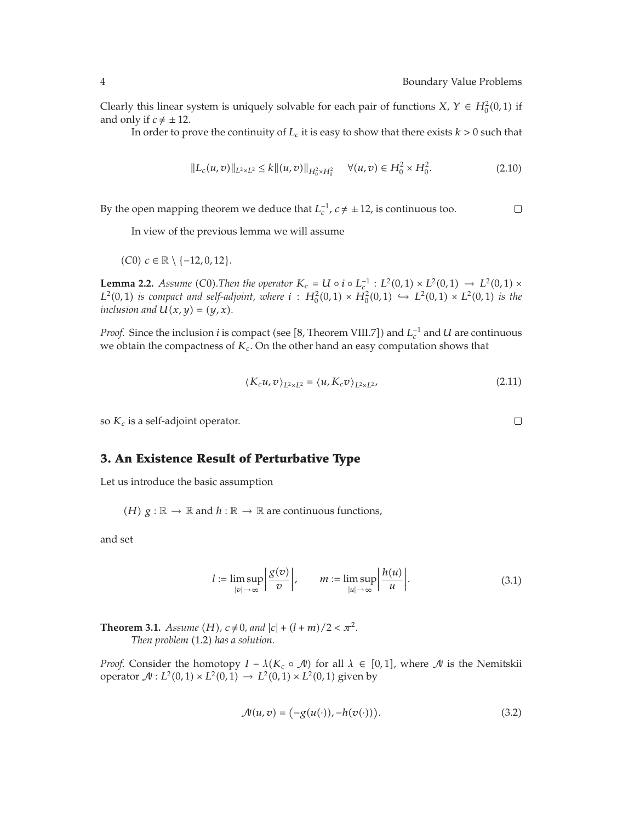Clearly this linear system is uniquely solvable for each pair of functions *X*,  $Y \in H_0^2(0,1)$  if and only if  $c \neq \pm 12$ .

In order to prove the continuity of  $L_c$  it is easy to show that there exists  $k > 0$  such that

$$
||L_c(u,v)||_{L^2 \times L^2} \le k ||(u,v)||_{H_0^2 \times H_0^2} \quad \forall (u,v) \in H_0^2 \times H_0^2.
$$
 (2.10)

By the open mapping theorem we deduce that  $L_c^{-1}$ ,  $c \neq \pm 12$ , is continuous too.

In view of the previous lemma we will assume

 $(C0)$  *c* ∈ ℝ \ {−12*,* 0*,* 12}.

**Lemma 2.2.** *Assume* (C0). *Then the operator*  $K_c = U \circ i \circ L_c^{-1}$  :  $L^2(0,1) \times L^2(0,1) \to L^2(0,1) \times$ *L*<sup>2</sup>(0,1) *is compact and self-adjoint, where i* :  $H_0^2(0,1) \times H_0^2(0,1)$  →  $L^2(0,1) \times L^2(0,1)$  *is the inclusion and*  $U(x, y) = (y, x)$ *.* 

*Proof.* Since the inclusion *i* is compact (see [8, Theorem VIII.7]) and  $L_c^{-1}$  and *U* are continuous we obtain the compactness of  $K_c$ . On the other hand an easy computation shows that

$$
\langle K_c u, v \rangle_{L^2 \times L^2} = \langle u, K_c v \rangle_{L^2 \times L^2}, \tag{2.11}
$$

so  $K_c$  is a self-adjoint operator.

## **3. An Existence Result of Perturbative Type**

Let us introduce the basic assumption

*(H)*  $g : \mathbb{R} \to \mathbb{R}$  and  $h : \mathbb{R} \to \mathbb{R}$  are continuous functions,

and set

$$
l := \limsup_{|v| \to \infty} \left| \frac{g(v)}{v} \right|, \qquad m := \limsup_{|u| \to \infty} \left| \frac{h(u)}{u} \right|.
$$
 (3.1)

**Theorem 3.1.** *Assume* (*H*),  $c \neq 0$ , and  $|c| + (l + m)/2 < \pi^2$ . *Then problem* (1.2) has a solution.

*Proof.* Consider the homotopy  $I - \lambda(K_c \circ \mathcal{N})$  for all  $\lambda \in [0,1]$ , where  $\mathcal N$  is the Nemitskii operator  $\mathcal{N}: L^2(0,1) \times L^2(0,1) \to L^2(0,1) \times L^2(0,1)$  given by

$$
\mathcal{N}(u,v) = \bigl(-g(u(\cdot)), -h(v(\cdot))\bigr). \tag{3.2}
$$

 $\Box$ 

 $\Box$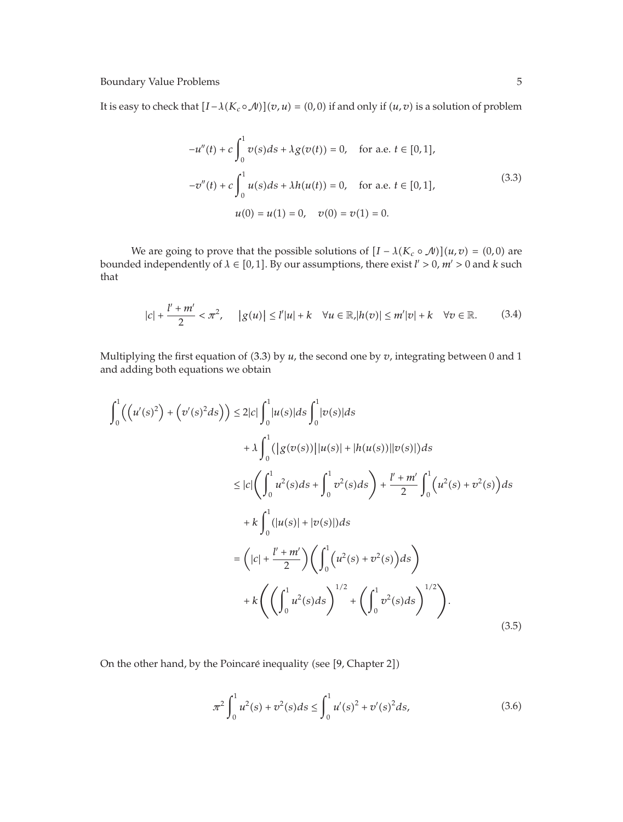It is easy to check that  $[I - \lambda(K_c \circ \mathcal{N})](v, u) = (0, 0)$  if and only if  $(u, v)$  is a solution of problem

$$
-u''(t) + c \int_0^1 v(s)ds + \lambda g(v(t)) = 0, \quad \text{for a.e. } t \in [0, 1],
$$
  

$$
-v''(t) + c \int_0^1 u(s)ds + \lambda h(u(t)) = 0, \quad \text{for a.e. } t \in [0, 1],
$$
  

$$
u(0) = u(1) = 0, \quad v(0) = v(1) = 0.
$$
 (3.3)

We are going to prove that the possible solutions of  $[I - \lambda(K_c \circ \mathcal{N})](u, v) = (0, 0)$  are bounded independently of  $\lambda \in [0,1]$ . By our assumptions, there exist  $l' > 0$ ,  $m' > 0$  and  $k$  such that

$$
|c| + \frac{l' + m'}{2} < \pi^2, \quad |g(u)| \le l'|u| + k \quad \forall u \in \mathbb{R}, |h(v)| \le m'|v| + k \quad \forall v \in \mathbb{R}.\tag{3.4}
$$

Multiplying the first equation of  $(3.3)$  by  $u$ , the second one by  $v$ , integrating between 0 and 1 and adding both equations we obtain

$$
\int_{0}^{1} \left( \left( u'(s)^{2} \right) + \left( v'(s)^{2} ds \right) \right) \leq 2|c| \int_{0}^{1} |u(s)| ds \int_{0}^{1} |v(s)| ds
$$
  
+  $\lambda \int_{0}^{1} \left( |g(v(s))| |u(s)| + |h(u(s))| |v(s)| \right) ds$   

$$
\leq |c| \left( \int_{0}^{1} u^{2}(s) ds + \int_{0}^{1} v^{2}(s) ds \right) + \frac{l' + m'}{2} \int_{0}^{1} \left( u^{2}(s) + v^{2}(s) \right) ds
$$
  
+  $k \int_{0}^{1} (|u(s)| + |v(s)|) ds$   

$$
= \left( |c| + \frac{l' + m'}{2} \right) \left( \int_{0}^{1} \left( u^{2}(s) + v^{2}(s) \right) ds \right)
$$
  
+  $k \left( \left( \int_{0}^{1} u^{2}(s) ds \right)^{1/2} + \left( \int_{0}^{1} v^{2}(s) ds \right)^{1/2} \right).$  (3.5)

On the other hand, by the Poincaré inequality (see [9, Chapter 2])

$$
\pi^2 \int_0^1 u^2(s) + v^2(s)ds \le \int_0^1 u'(s)^2 + v'(s)^2 ds,\tag{3.6}
$$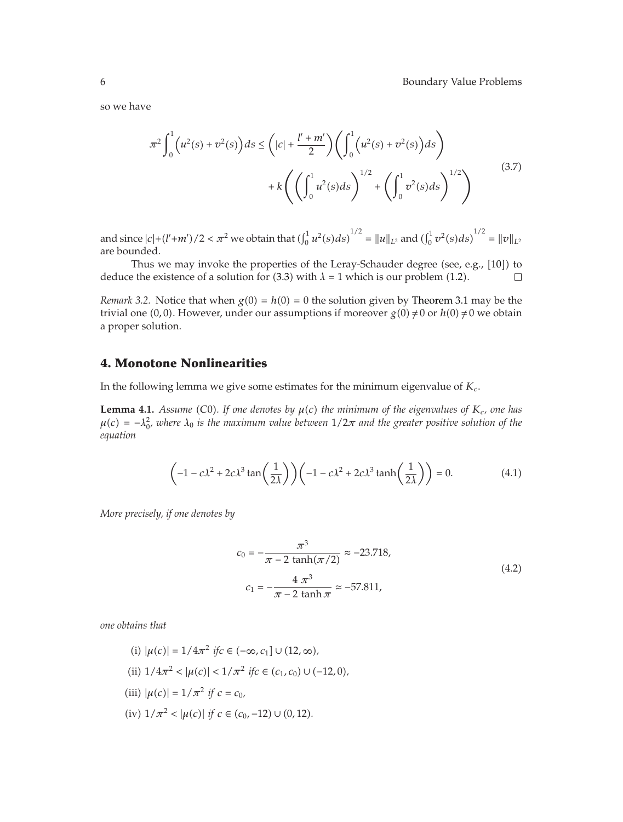so we have

$$
\pi^{2} \int_{0}^{1} \left( u^{2}(s) + v^{2}(s) \right) ds \leq \left( |c| + \frac{l' + m'}{2} \right) \left( \int_{0}^{1} \left( u^{2}(s) + v^{2}(s) \right) ds \right) \n+ k \left( \left( \int_{0}^{1} u^{2}(s) ds \right)^{1/2} + \left( \int_{0}^{1} v^{2}(s) ds \right)^{1/2} \right)
$$
\n(3.7)

and since  $|c| + (l' + m')/2 < \pi^2$  we obtain that  $(\int_0^1 u^2(s) ds)^{1/2} = ||u||_{L^2}$  and  $(\int_0^1 v^2(s) ds)^{1/2} = ||v||_{L^2}$ are bounded.

Thus we may invoke the properties of the Leray-Schauder degree (see, e.g.,  $[10]$ ) to deduce the existence of a solution for  $(3.3)$  with  $\lambda = 1$  which is our problem  $(1.2)$ .  $\Box$ 

*Remark* 3.2. Notice that when  $g(0) = h(0) = 0$  the solution given by Theorem 3.1 may be the trivial one (0,0). However, under our assumptions if moreover  $g(0) \neq 0$  or  $h(0) \neq 0$  we obtain a proper solution.

## **4. Monotone Nonlinearities**

In the following lemma we give some estimates for the minimum eigenvalue of *Kc*.

**Lemma 4.1.** *Assume* (C0). If one denotes by  $\mu(c)$  the minimum of the eigenvalues of  $K_c$ , one has  $\mu(c) = -\lambda_0^2$ , where  $\lambda_0$  is the maximum value between  $1/2\pi$  and the greater positive solution of the *equation*

$$
\left(-1 - c\lambda^2 + 2c\lambda^3 \tan\left(\frac{1}{2\lambda}\right)\right)\left(-1 - c\lambda^2 + 2c\lambda^3 \tanh\left(\frac{1}{2\lambda}\right)\right) = 0.
$$
 (4.1)

*More precisely, if one denotes by*

$$
c_0 = -\frac{\pi^3}{\pi - 2 \tanh(\pi/2)} \approx -23.718,
$$
  

$$
c_1 = -\frac{4 \pi^3}{\pi - 2 \tanh \pi} \approx -57.811,
$$
 (4.2)

*one obtains that*

(i) 
$$
|\mu(c)| = 1/4\pi^2
$$
 if  $c \in (-\infty, c_1] \cup (12, \infty)$ ,  
\n(ii)  $1/4\pi^2 < |\mu(c)| < 1/\pi^2$  if  $c \in (c_1, c_0) \cup (-12, 0)$ ,  
\n(iii)  $|\mu(c)| = 1/\pi^2$  if  $c = c_0$ ,  
\n(iv)  $1/\pi^2 < |\mu(c)|$  if  $c \in (c_0, -12) \cup (0, 12)$ .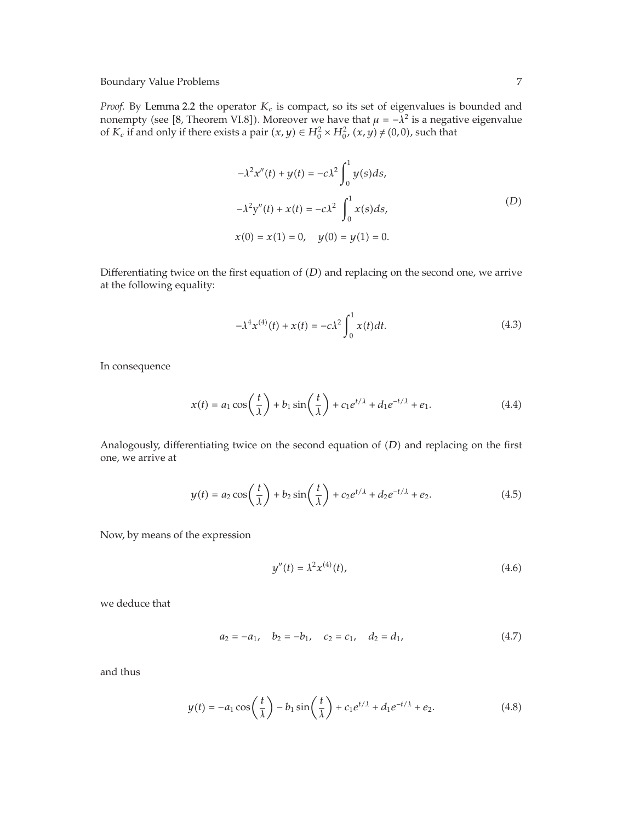*Proof.* By Lemma 2.2 the operator  $K_c$  is compact, so its set of eigenvalues is bounded and nonempty (see [8, Theorem VI.8]). Moreover we have that  $\mu = -\lambda^2$  is a negative eigenvalue of  $K_c$  if and only if there exists a pair  $(x, y) \in H_0^2 \times H_0^2$ ,  $(x, y) \neq (0, 0)$ , such that

$$
-\lambda^{2} x''(t) + y(t) = -c\lambda^{2} \int_{0}^{1} y(s) ds,
$$
  

$$
-\lambda^{2} y''(t) + x(t) = -c\lambda^{2} \int_{0}^{1} x(s) ds,
$$
  

$$
x(0) = x(1) = 0, \quad y(0) = y(1) = 0.
$$
 (D)

Differentiating twice on the first equation of  $(D)$  and replacing on the second one, we arrive at the following equality:

$$
-\lambda^4 x^{(4)}(t) + x(t) = -c\lambda^2 \int_0^1 x(t)dt.
$$
 (4.3)

In consequence

$$
x(t) = a_1 \cos\left(\frac{t}{\lambda}\right) + b_1 \sin\left(\frac{t}{\lambda}\right) + c_1 e^{t/\lambda} + d_1 e^{-t/\lambda} + e_1.
$$
 (4.4)

Analogously, differentiating twice on the second equation of (D) and replacing on the first one, we arrive at

$$
y(t) = a_2 \cos\left(\frac{t}{\lambda}\right) + b_2 \sin\left(\frac{t}{\lambda}\right) + c_2 e^{t/\lambda} + d_2 e^{-t/\lambda} + e_2.
$$
 (4.5)

Now, by means of the expression

$$
y''(t) = \lambda^2 x^{(4)}(t), \tag{4.6}
$$

we deduce that

$$
a_2 = -a_1, \quad b_2 = -b_1, \quad c_2 = c_1, \quad d_2 = d_1,\tag{4.7}
$$

and thus

$$
y(t) = -a_1 \cos\left(\frac{t}{\lambda}\right) - b_1 \sin\left(\frac{t}{\lambda}\right) + c_1 e^{t/\lambda} + d_1 e^{-t/\lambda} + e_2.
$$
 (4.8)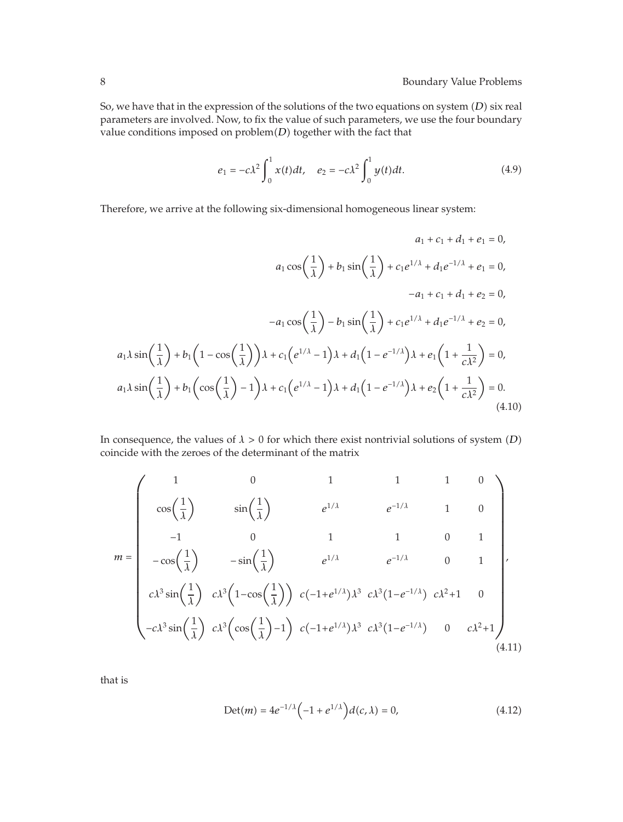So, we have that in the expression of the solutions of the two equations on system (D) six real parameters are involved. Now, to fix the value of such parameters, we use the four boundary value conditions imposed on problem(D) together with the fact that

$$
e_1 = -c\lambda^2 \int_0^1 x(t)dt, \quad e_2 = -c\lambda^2 \int_0^1 y(t)dt.
$$
 (4.9)

Therefore, we arrive at the following six-dimensional homogeneous linear system:

$$
a_1 + c_1 + d_1 + e_1 = 0,
$$
  
\n
$$
a_1 \cos\left(\frac{1}{\lambda}\right) + b_1 \sin\left(\frac{1}{\lambda}\right) + c_1 e^{1/\lambda} + d_1 e^{-1/\lambda} + e_1 = 0,
$$
  
\n
$$
-a_1 + c_1 + d_1 + e_2 = 0,
$$
  
\n
$$
-a_1 \cos\left(\frac{1}{\lambda}\right) - b_1 \sin\left(\frac{1}{\lambda}\right) + c_1 e^{1/\lambda} + d_1 e^{-1/\lambda} + e_2 = 0,
$$
  
\n
$$
a_1 \lambda \sin\left(\frac{1}{\lambda}\right) + b_1 \left(1 - \cos\left(\frac{1}{\lambda}\right)\right) \lambda + c_1 \left(e^{1/\lambda} - 1\right) \lambda + d_1 \left(1 - e^{-1/\lambda}\right) \lambda + e_1 \left(1 + \frac{1}{c\lambda^2}\right) = 0,
$$
  
\n
$$
a_1 \lambda \sin\left(\frac{1}{\lambda}\right) + b_1 \left(\cos\left(\frac{1}{\lambda}\right) - 1\right) \lambda + c_1 \left(e^{1/\lambda} - 1\right) \lambda + d_1 \left(1 - e^{-1/\lambda}\right) \lambda + e_2 \left(1 + \frac{1}{c\lambda^2}\right) = 0.
$$
  
\n(4.10)

In consequence, the values of  $\lambda > 0$  for which there exist nontrivial solutions of system *(D)* coincide with the zeroes of the determinant of the matrix

$$
m = \begin{pmatrix} 1 & 0 & 1 & 1 & 1 & 0 \\ \cos\left(\frac{1}{\lambda}\right) & \sin\left(\frac{1}{\lambda}\right) & e^{1/\lambda} & e^{-1/\lambda} & 1 & 0 \\ -1 & 0 & 1 & 1 & 0 & 1 \\ -\cos\left(\frac{1}{\lambda}\right) & -\sin\left(\frac{1}{\lambda}\right) & e^{1/\lambda} & e^{-1/\lambda} & 0 & 1 \\ c\lambda^3 \sin\left(\frac{1}{\lambda}\right) & c\lambda^3 \left(1-\cos\left(\frac{1}{\lambda}\right)\right) & c\left(-1+e^{1/\lambda}\right)\lambda^3 & c\lambda^3 \left(1-e^{-1/\lambda}\right) & c\lambda^2+1 & 0 \\ -c\lambda^3 \sin\left(\frac{1}{\lambda}\right) & c\lambda^3 \left(\cos\left(\frac{1}{\lambda}\right)-1\right) & c\left(-1+e^{1/\lambda}\right)\lambda^3 & c\lambda^3 \left(1-e^{-1/\lambda}\right) & 0 & c\lambda^2+1 \end{pmatrix},
$$
\n(4.11)

that is

$$
Det(m) = 4e^{-1/\lambda} \left( -1 + e^{1/\lambda} \right) d(c, \lambda) = 0,
$$
\n(4.12)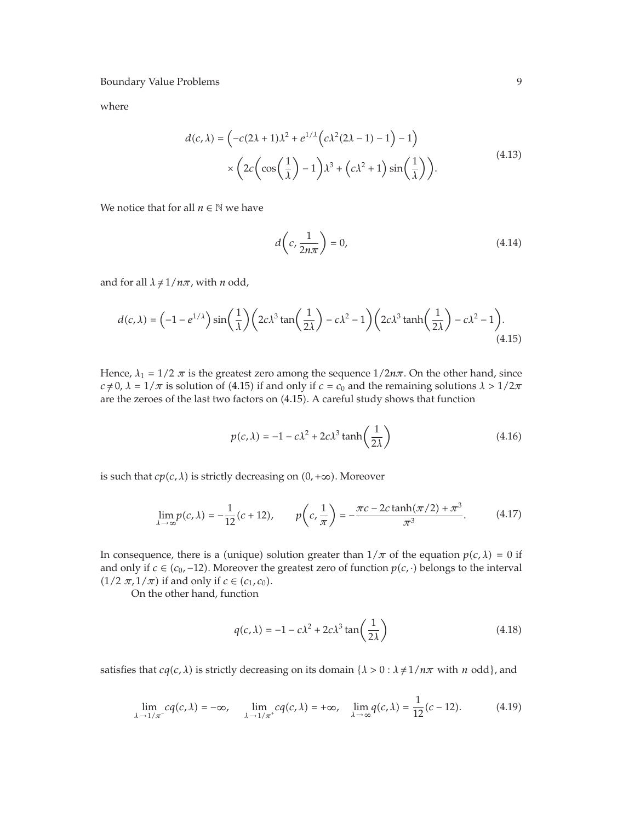where

$$
d(c,\lambda) = \left(-c(2\lambda+1)\lambda^2 + e^{1/\lambda}\left(c\lambda^2(2\lambda-1)-1\right)-1\right)
$$

$$
\times \left(2c\left(\cos\left(\frac{1}{\lambda}\right)-1\right)\lambda^3 + \left(c\lambda^2+1\right)\sin\left(\frac{1}{\lambda}\right)\right).
$$
(4.13)

We notice that for all  $n \in \mathbb{N}$  we have

$$
d\left(c, \frac{1}{2n\pi}\right) = 0,\tag{4.14}
$$

and for all  $\lambda \neq 1/n\pi$ , with *n* odd,

$$
d(c,\lambda) = \left(-1 - e^{1/\lambda}\right)\sin\left(\frac{1}{\lambda}\right)\left(2c\lambda^3\tan\left(\frac{1}{2\lambda}\right) - c\lambda^2 - 1\right)\left(2c\lambda^3\tanh\left(\frac{1}{2\lambda}\right) - c\lambda^2 - 1\right).
$$
\n(4.15)

Hence,  $\lambda_1 = 1/2 \pi$  is the greatest zero among the sequence  $1/2n\pi$ . On the other hand, since *c*  $\neq$  0, *λ* = 1/*π* is solution of (4.15) if and only if *c* = *c*<sub>0</sub> and the remaining solutions *λ* > 1/2*π* are the zeroes of the last two factors on (4.15). A careful study shows that function

$$
p(c,\lambda) = -1 - c\lambda^2 + 2c\lambda^3 \tanh\left(\frac{1}{2\lambda}\right)
$$
 (4.16)

is such that  $cp(c, \lambda)$  is strictly decreasing on  $(0, +\infty)$ . Moreover

$$
\lim_{\lambda \to \infty} p(c, \lambda) = -\frac{1}{12}(c + 12), \qquad p\left(c, \frac{1}{\pi}\right) = -\frac{\pi c - 2c \tanh(\pi/2) + \pi^3}{\pi^3}.
$$
 (4.17)

In consequence, there is a (unique) solution greater than  $1/\pi$  of the equation  $p(c, \lambda) = 0$  if and only if  $c \in (c_0, -12)$ . Moreover the greatest zero of function  $p(c, \cdot)$  belongs to the interval  $(1/2 \pi, 1/\pi)$  if and only if  $c \in (c_1, c_0)$ .

On the other hand, function

$$
q(c,\lambda) = -1 - c\lambda^2 + 2c\lambda^3 \tan\left(\frac{1}{2\lambda}\right)
$$
 (4.18)

satisfies that *cq*(*c*, *λ*) is strictly decreasing on its domain { $\lambda > 0$  :  $\lambda \neq 1/n\pi$  with *n* odd}, and

$$
\lim_{\lambda \to 1/\pi^{-}} cq(c, \lambda) = -\infty, \quad \lim_{\lambda \to 1/\pi^{+}} cq(c, \lambda) = +\infty, \quad \lim_{\lambda \to \infty} q(c, \lambda) = \frac{1}{12}(c - 12). \tag{4.19}
$$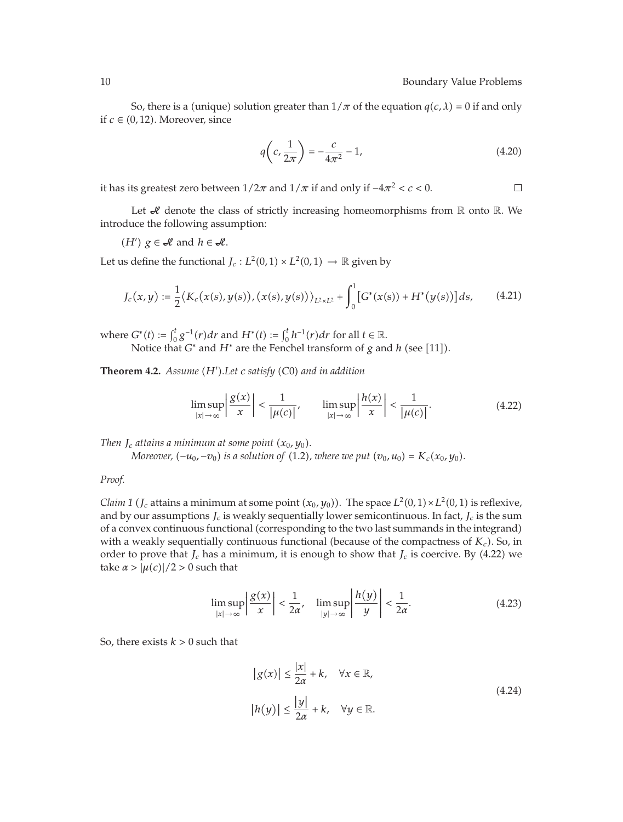$\Box$ 

So, there is a (unique) solution greater than  $1/\pi$  of the equation  $q(c, \lambda) = 0$  if and only if  $c \in (0, 12)$ . Moreover, since

$$
q\left(c, \frac{1}{2\pi}\right) = -\frac{c}{4\pi^2} - 1,\tag{4.20}
$$

it has its greatest zero between  $1/2\pi$  and  $1/\pi$  if and only if  $-4\pi^2 < c < 0$ .

Let  $\mathcal A$  denote the class of strictly increasing homeomorphisms from  $\mathbb R$  onto  $\mathbb R$ . We introduce the following assumption:

*(H<sup>'</sup>)*  $g$  ∈ *H* and  $h$  ∈ *H*.

Let us define the functional  $J_c: L^2(0,1) \times L^2(0,1) \rightarrow \mathbb{R}$  given by

$$
J_c(x,y) := \frac{1}{2} \langle K_c(x(s), y(s)), (x(s), y(s)) \rangle_{L^2 \times L^2} + \int_0^1 [G^*(x(s)) + H^*(y(s))] ds, \qquad (4.21)
$$

where  $G^*(t) := \int_0^t g^{-1}(r) dr$  and  $H^*(t) := \int_0^t h^{-1}(r) dr$  for all  $t \in \mathbb{R}$ . Notice that  $G^*$  and  $H^*$  are the Fenchel transform of  $g$  and  $h$  (see [11]).

**Theorem 4.2.** *Assume H .Let c satisfy C*0 *and in addition*

$$
\limsup_{|x| \to \infty} \left| \frac{\mathcal{S}(x)}{x} \right| < \frac{1}{|\mu(c)|}, \qquad \limsup_{|x| \to \infty} \left| \frac{h(x)}{x} \right| < \frac{1}{|\mu(c)|}. \tag{4.22}
$$

*Then*  $J_c$  *attains a minimum at some point*  $(x_0, y_0)$ *.* 

*Moreover,*  $(-u_0, -v_0)$  *is a solution of* (1.2*), where we put*  $(v_0, u_0) = K_c(x_0, y_0)$ .

*Proof.*

*Claim 1 (J<sub>c</sub>* attains a minimum at some point  $(x_0, y_0)$ ). The space  $L^2(0, 1) \times L^2(0, 1)$  is reflexive, and by our assumptions  $J_c$  is weakly sequentially lower semicontinuous. In fact,  $J_c$  is the sum of a convex continuous functional corresponding to the two last summands in the integrand with a weakly sequentially continuous functional (because of the compactness of  $K_c$ ). So, in order to prove that  $J_c$  has a minimum, it is enough to show that  $J_c$  is coercive. By (4.22) we take  $\alpha$  >  $|\mu(c)|/2$  > 0 such that

$$
\limsup_{|x| \to \infty} \left| \frac{g(x)}{x} \right| < \frac{1}{2\alpha}, \quad \limsup_{|y| \to \infty} \left| \frac{h(y)}{y} \right| < \frac{1}{2\alpha}.\tag{4.23}
$$

So, there exists  $k > 0$  such that

$$
|g(x)| \le \frac{|x|}{2\alpha} + k, \quad \forall x \in \mathbb{R},
$$
  

$$
|h(y)| \le \frac{|y|}{2\alpha} + k, \quad \forall y \in \mathbb{R}.
$$
 (4.24)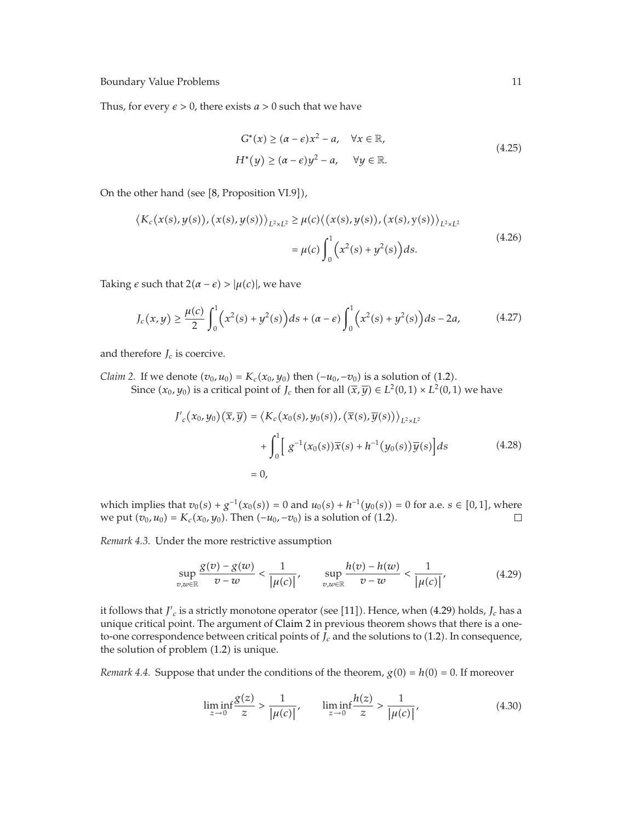Thus, for every  $\epsilon > 0$ , there exists  $a > 0$  such that we have

$$
G^*(x) \ge (a - \epsilon)x^2 - a, \quad \forall x \in \mathbb{R},
$$
  
\n
$$
H^*(y) \ge (a - \epsilon)y^2 - a, \quad \forall y \in \mathbb{R}.
$$
\n(4.25)

On the other hand (see [8, Proposition VI.9]),

$$
\langle K_c(x(s), y(s)), (x(s), y(s)) \rangle_{L^2 \times L^2} \ge \mu(c) \langle (x(s), y(s)), (x(s), y(s)) \rangle_{L^2 \times L^2}
$$
  
=  $\mu(c) \int_0^1 (x^2(s) + y^2(s)) ds.$  (4.26)

Taking  $\epsilon$  such that  $2(\alpha - \epsilon) > |\mu(c)|$ , we have

$$
J_c(x,y) \ge \frac{\mu(c)}{2} \int_0^1 \left( x^2(s) + y^2(s) \right) ds + (\alpha - \epsilon) \int_0^1 \left( x^2(s) + y^2(s) \right) ds - 2a,
$$
 (4.27)

and therefore  $J_c$  is coercive.

*Claim 2.* If we denote  $(v_0, u_0) = K_c(x_0, y_0)$  then  $(-u_0, -v_0)$  is a solution of (1.2). Since  $(x_0, y_0)$  is a critical point of *J<sub>c</sub>* then for all  $(\overline{x}, \overline{y}) \in L^2(0,1) \times L^2(0,1)$  we have

$$
J'_{c}(x_0, y_0)(\overline{x}, \overline{y}) = \langle K_c(x_0(s), y_0(s)), (\overline{x}(s), \overline{y}(s)) \rangle_{L^2 \times L^2}
$$
  
+ 
$$
\int_0^1 \left[ g^{-1}(x_0(s)) \overline{x}(s) + h^{-1}(y_0(s)) \overline{y}(s) \right] ds
$$
 (4.28)  
= 0,

which implies that  $v_0(s) + g^{-1}(x_0(s)) = 0$  and  $u_0(s) + h^{-1}(y_0(s)) = 0$  for a.e.  $s \in [0,1]$ , where *we put*  $(v_0, u_0) = K_c(x_0, y_0)$ . Then  $(-u_0, -v_0)$  is a solution of (1.2).  $\Box$ 

*Remark 4.3.* Under the more restrictive assumption

$$
\sup_{v,w\in\mathbb{R}}\frac{g(v)-g(w)}{v-w}<\frac{1}{|\mu(c)|},\qquad \sup_{v,w\in\mathbb{R}}\frac{h(v)-h(w)}{v-w}<\frac{1}{|\mu(c)|},\tag{4.29}
$$

it follows that  $J_c'$  is a strictly monotone operator (see [11]). Hence, when (4.29) holds,  $J_c$  has a unique critical point. The argument of Claim 2 in previous theorem shows that there is a oneto-one correspondence between critical points of  $J_c$  and the solutions to  $(1.2)$ . In consequence, the solution of problem  $(1.2)$  is unique.

*Remark 4.4.* Suppose that under the conditions of the theorem,  $g(0) = h(0) = 0$ . If moreover

$$
\liminf_{z \to 0} \frac{g(z)}{z} > \frac{1}{|\mu(c)|}, \qquad \liminf_{z \to 0} \frac{h(z)}{z} > \frac{1}{|\mu(c)|}, \tag{4.30}
$$